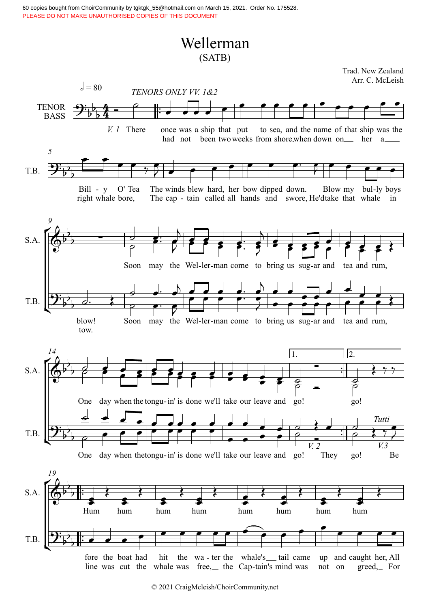## Wellerman (SATB)

 $\left( 2+$  $\mathcal{F}_{\mathcal{P}}$  $\left( 2+\frac{1}{2}\right)$  $\mathbb{Z}_{\mathbb{Z}}$  $\overline{2}$ ™ **TENOR BASS** *V. 1* There *TENORS ONLY V V. 1&2* once was a ship that put had not been two weeks from shore when down on her a to sea, and the name of that ship was the  $\lambda = 80$ T.B. Bill - y O' T right whale O' Tea O' Tea The winds blew hard, her bow dipped down. Blow my bul-ly boy bore, The cap - tain called all hands and swore, He'dtake that whale in winds blew her bow dipped down. Blow my bul -ly boys in *5* S.A. T.B. Soon may the Wel-ler-man come to bring us sug-ar and tea and rum, *9* blow! blow! Soon may the Wel-ler-man come to bring us sug-ar and tea and rum, tow. ™ ™ …<br>∷ ह —<br>∷∥ ∂  $S.A.$ T.B. One day when the tongu- in' is done we'll take our leave and go! go! 1. 2. *14* One day when thetongu- in' is done we'll take our leave and go! *V. 2* They go! *Tutti V.3* Be ™ ™ ™ ™ S.A. T.B. Hum hum hum hum hum hum hum hum *19*  $4 - 9$  $9:_{5}^{1}_{5}$ 4 - P  $\frac{4}{4}$  - $\frac{1}{2}$ Trad. New Zealand Arr. C. McLeish  $9\frac{1}{2}$  $\overline{b}$ b  $\phi^{\flat}$  $b_{\perp}$  $\frac{1}{2}$  $9\frac{1}{2}$  d.  $\overline{b}$  $b$  $\phi^{\flat}$  8  $b \rightarrow$  $\overline{58}$  $9\frac{1}{5}$ b  $\overline{p}$  $\phi^{\flat}$  $\overline{\mathbf{b}}$   $\overline{\mathbf{b}}$   $\overline{\mathbf{b}}$   $\overline{\mathbf{b}}$  $\frac{1}{2}$  $9:$   $\flat$   $\vdots$  $\overline{b}$  $\overline{\phantom{a}}$   $\overline{\phantom{a}}$   $\overline{\phantom{a}}$ œ œ œ œ  $\bullet$   $\bullet$ œ œ œ œ œ œ œ œ œ  $\bullet$  equal to  $\bullet$  $\bullet$   $\bullet$   $\bullet$  $\begin{array}{c} \bullet \bullet \\ \bullet \end{array}$  $75$ œ e e e e e e e e e<br>} e e e e e e e e e e  $\mathcal{G}$  expressed by  $\mathcal{G}$  $\frac{1}{2}$  $\frac{1}{\rho}$ œ™ ™ œ  $\overline{)}$  $7 + 2$ œ œ œ œ™  $\frac{1}{\sqrt{2}}$  $\frac{1}{2}$  $\frac{1}{2}$   $\frac{1}{2}$   $\frac{1}{2}$   $\frac{1}{2}$   $\frac{1}{2}$   $\frac{1}{2}$   $\frac{1}{2}$   $\frac{1}{2}$   $\frac{1}{2}$   $\frac{1}{2}$   $\frac{1}{2}$  $e$   $\rightarrow$  $\frac{1}{2}$  $\begin{array}{c|c|c|c|c} \hline \circ & \bullet & \bullet \\ \hline \end{array}$ d d. <u>d</u>. d) d d<br>e g d d e g  $\overline{a}$  $e^+$  $\mathcal{P}^+$ <u>e e e e </u> <u>。。。。。</u><br>● ● ● <sup>●</sup> <u>d. d`d d</u><br><del>e™ e</del> la a  $\theta$  e e e  $\frac{1}{\sqrt{2}}$  $\frac{1}{2}$  $\frac{\partial}{\partial \theta}$  $\overline{\phantom{a}}$ œ œ œ  $\frac{1}{1}$  $\frac{1}{\sqrt{2}}$  $e$   $e$  $\overrightarrow{=}$  $\overrightarrow{e}$  $\frac{1}{2}$  $\overrightarrow{=}$  $\overrightarrow{e}$ ˙ <sup>œ</sup> <sup>œ</sup> <sup>œ</sup> <sup>œ</sup>  $e$   $e$   $e$   $e$   $e$   $e$  $\frac{1}{2}$  $\frac{1}{2}$  $\frac{1}{\epsilon}$  $\frac{1}{2}$  $\overline{\rho}$   $\blacksquare$  $\begin{array}{c} \begin{array}{c} \begin{array}{c} \bullet \\ \end{array} \\ \end{array}$  $\frac{\partial}{\partial \phi}$  $\frac{1}{2}$  $\rho$   $\rho$   $\uparrow$ ˙  $\bullet$   $\bullet$   $\bullet$ <u>e</u> e d<sub>e</sub> l  $e$   $e$   $e$   $e$ <u>e dd d d</u> <u>. . . . . .</u><br>. . . . . .  $\overrightarrow{e}$  $\frac{\bullet}{\bullet}$   $\frac{\bullet}{\bullet}$ <u>. . .</u>  $\overset{\bullet}{\longrightarrow}$ œ <u>. . .</u> œ  $\begin{array}{c|c} \hline \end{array}$  $\bullet$   $\bullet$   $\bullet$  $\frac{1}{2}$  $\bullet$   $\circ$ ˙  $\begin{array}{c} \circ \\ \circ \\ \circ \\ \end{array}$  $\frac{1}{2}$  $\left\{$   $\begin{array}{c}$   $\left\{$   $\begin{array}{c} \end{array} \right\}$   $\begin{array}{c} \end{array}$   $\begin{array}{c} \end{array}$   $\begin{array}{c} \end{array}$   $\begin{array}{c} \end{array}$   $\begin{array}{c} \end{array}$   $\begin{array}{c} \end{array}$   $\begin{array}{c} \end{array}$   $\begin{array}{c} \end{array}$   $\begin{array}{c} \end{array}$   $\begin{array}{c} \end{array}$   $\begin{array}{c} \end{array}$   $\begin{array}{c} \end{array}$  $\overrightarrow{a}$  $\overline{C}$  $\overline{y}$  $\bullet$   $\bullet$  $\left\langle \begin{array}{c} \overline{1} & \overline{1} \\ \overline{1} & \overline{1} \\ \overline{1} & \overline{1} \end{array} \right\rangle$  $\bullet$   $\bullet$   $\bullet$  $\left\langle \begin{array}{c} \cdot \end{array} \right\rangle$  $\bullet$   $\bullet$  $\left\langle \begin{array}{c} \overline{1} & \overline{1} \\ \overline{1} & \overline{1} \\ \overline{1} & \overline{1} \end{array} \right\rangle$ e<sup>c</sup>  $\left\langle \right|$ e <sup>e</sup>  $\frac{1}{2}$  $\left\{$   $\right\}$  $\bullet$   $\overline{\bullet}$  $\frac{1}{2}$  $\left\langle \right|$  $\bullet$  $\left\vert \right\rangle$  $\bullet$  $\sum_{i=1}^{n}$ œ œ œ  $\overline{\phantom{a}}$ œ œ œ œ œ œ œ œ  $\overrightarrow{ }$  $\bullet$ œ œ œ œ

 $\frac{1}{2}$ fore the boat had hit the wa-ter the whale's \_\_ tail came u<br>line was cut the whale was free, the Cap-tain's mind was n fore the boat had hit the wa-ter the whale's \_\_ tail came up not on up and caught her, All<br>not on greed, For  $\frac{1}{2}$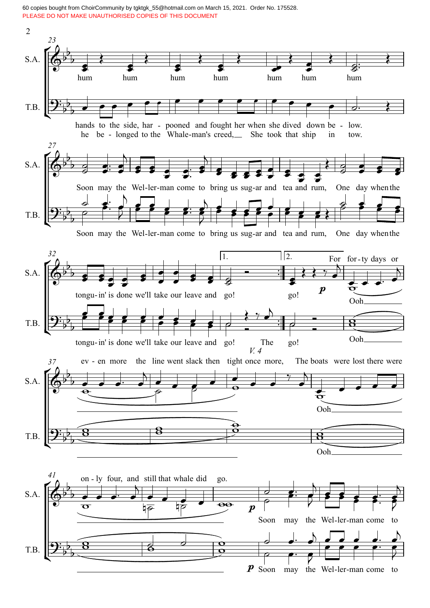60 copies bought from ChoirCommunity by tgktgk\_55@hotmail.com on March 15, 2021. Order No. 175528. PLEASE DO NOT MAKE UNAUTHORISED COPIES OF THIS DOCUMENT